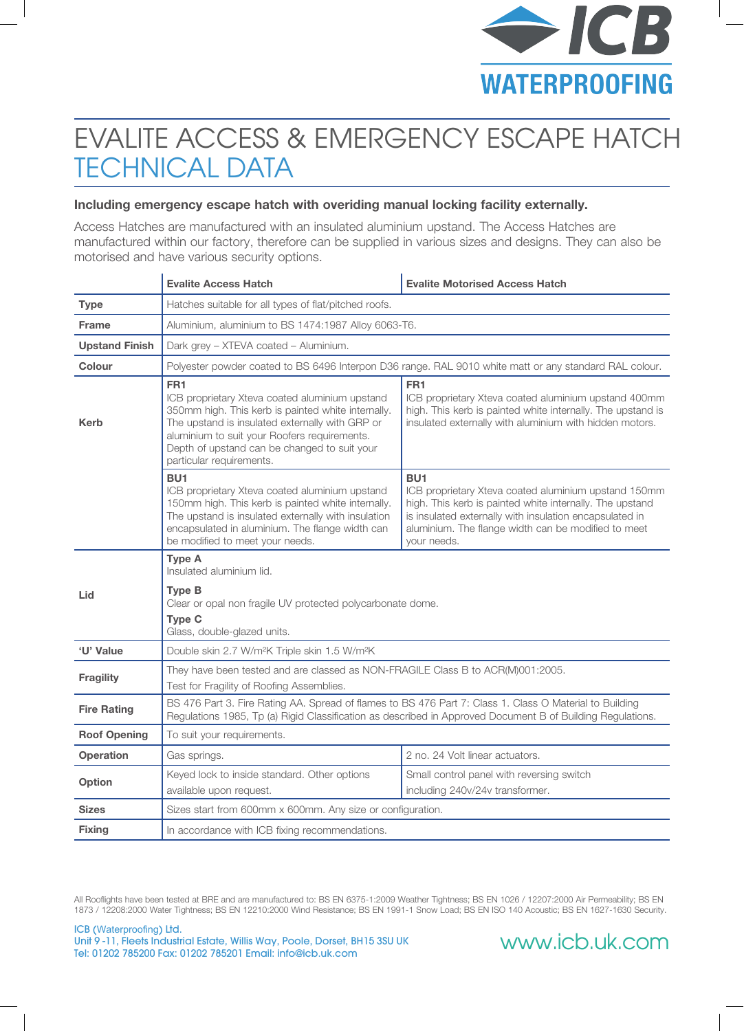

## EVALITE ACCESS & EMERGENCY ESCAPE HATCH TECHNICAL DATA

#### **Including emergency escape hatch with overiding manual locking facility externally.**

Access Hatches are manufactured with an insulated aluminium upstand. The Access Hatches are manufactured within our factory, therefore can be supplied in various sizes and designs. They can also be motorised and have various security options.

|                       | <b>Evalite Access Hatch</b>                                                                                                                                                                                                                                                                            | <b>Evalite Motorised Access Hatch</b>                                                                                                                                                                                                                                |
|-----------------------|--------------------------------------------------------------------------------------------------------------------------------------------------------------------------------------------------------------------------------------------------------------------------------------------------------|----------------------------------------------------------------------------------------------------------------------------------------------------------------------------------------------------------------------------------------------------------------------|
| <b>Type</b>           | Hatches suitable for all types of flat/pitched roofs.                                                                                                                                                                                                                                                  |                                                                                                                                                                                                                                                                      |
| <b>Frame</b>          | Aluminium, aluminium to BS 1474:1987 Alloy 6063-T6.                                                                                                                                                                                                                                                    |                                                                                                                                                                                                                                                                      |
| <b>Upstand Finish</b> | Dark grey - XTEVA coated - Aluminium.                                                                                                                                                                                                                                                                  |                                                                                                                                                                                                                                                                      |
| <b>Colour</b>         |                                                                                                                                                                                                                                                                                                        | Polyester powder coated to BS 6496 Interpon D36 range. RAL 9010 white matt or any standard RAL colour.                                                                                                                                                               |
| <b>Kerb</b>           | FR <sub>1</sub><br>ICB proprietary Xteva coated aluminium upstand<br>350mm high. This kerb is painted white internally.<br>The upstand is insulated externally with GRP or<br>aluminium to suit your Roofers requirements.<br>Depth of upstand can be changed to suit your<br>particular requirements. | FR1<br>ICB proprietary Xteva coated aluminium upstand 400mm<br>high. This kerb is painted white internally. The upstand is<br>insulated externally with aluminium with hidden motors.                                                                                |
|                       | BU <sub>1</sub><br>ICB proprietary Xteva coated aluminium upstand<br>150mm high. This kerb is painted white internally.<br>The upstand is insulated externally with insulation<br>encapsulated in aluminium. The flange width can<br>be modified to meet your needs.                                   | BU <sub>1</sub><br>ICB proprietary Xteva coated aluminium upstand 150mm<br>high. This kerb is painted white internally. The upstand<br>is insulated externally with insulation encapsulated in<br>aluminium. The flange width can be modified to meet<br>vour needs. |
| Lid                   | <b>Type A</b><br>Insulated aluminium lid.<br><b>Type B</b><br>Clear or opal non fragile UV protected polycarbonate dome.<br><b>Type C</b><br>Glass, double-glazed units.                                                                                                                               |                                                                                                                                                                                                                                                                      |
| 'U' Value             | Double skin 2.7 W/m <sup>2</sup> K Triple skin 1.5 W/m <sup>2</sup> K                                                                                                                                                                                                                                  |                                                                                                                                                                                                                                                                      |
| <b>Fragility</b>      | They have been tested and are classed as NON-FRAGILE Class B to ACR(M)001:2005.<br>Test for Fragility of Roofing Assemblies.                                                                                                                                                                           |                                                                                                                                                                                                                                                                      |
| <b>Fire Rating</b>    | BS 476 Part 3. Fire Rating AA. Spread of flames to BS 476 Part 7: Class 1. Class O Material to Building<br>Regulations 1985, Tp (a) Rigid Classification as described in Approved Document B of Building Regulations.                                                                                  |                                                                                                                                                                                                                                                                      |
| <b>Roof Opening</b>   | To suit your requirements.                                                                                                                                                                                                                                                                             |                                                                                                                                                                                                                                                                      |
| <b>Operation</b>      | Gas springs.                                                                                                                                                                                                                                                                                           | 2 no. 24 Volt linear actuators.                                                                                                                                                                                                                                      |
| Option                | Keyed lock to inside standard. Other options<br>available upon request.                                                                                                                                                                                                                                | Small control panel with reversing switch<br>including 240v/24v transformer.                                                                                                                                                                                         |
| <b>Sizes</b>          | Sizes start from 600mm x 600mm. Any size or configuration.                                                                                                                                                                                                                                             |                                                                                                                                                                                                                                                                      |
| <b>Fixing</b>         | In accordance with ICB fixing recommendations.                                                                                                                                                                                                                                                         |                                                                                                                                                                                                                                                                      |

All Rooflights have been tested at BRE and are manufactured to: BS EN 6375-1:2009 Weather Tightness; BS EN 1026 / 12207:2000 Air Permeability; BS EN 1873 / 12208:2000 Water Tightness; BS EN 12210:2000 Wind Resistance; BS EN 1991-1 Snow Load; BS EN ISO 140 Acoustic; BS EN 1627-1630 Security.

ICB (Waterproofing) Ltd. Unit 9 -11, Fleets Industrial Estate, Willis Way, Poole, Dorset, BH15 3SU UK Tel: 01202 785200 Fax: 01202 785201 Email: info@icb.uk.com